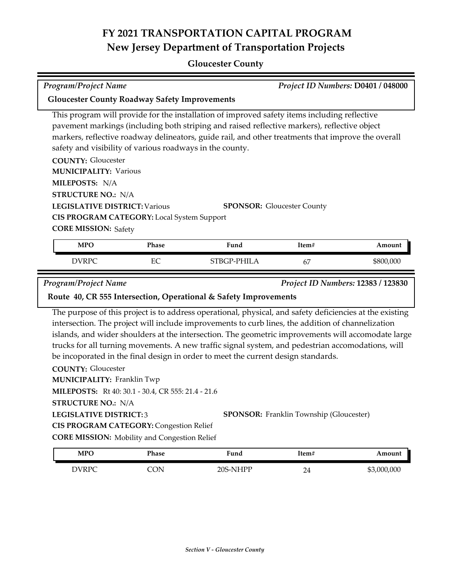### **Gloucester County**

| Project ID Numbers: D0401 / 048000<br><b>Program/Project Name</b>                                                                                                                                                                                                                           |            |                                                                                                                                                                                                                                                                                                                                                                                                                                                                                                               |                                                |             |
|---------------------------------------------------------------------------------------------------------------------------------------------------------------------------------------------------------------------------------------------------------------------------------------------|------------|---------------------------------------------------------------------------------------------------------------------------------------------------------------------------------------------------------------------------------------------------------------------------------------------------------------------------------------------------------------------------------------------------------------------------------------------------------------------------------------------------------------|------------------------------------------------|-------------|
| <b>Gloucester County Roadway Safety Improvements</b>                                                                                                                                                                                                                                        |            |                                                                                                                                                                                                                                                                                                                                                                                                                                                                                                               |                                                |             |
| safety and visibility of various roadways in the county.<br><b>COUNTY: Gloucester</b><br><b>MUNICIPALITY: Various</b><br>MILEPOSTS: N/A<br><b>STRUCTURE NO.: N/A</b><br><b>LEGISLATIVE DISTRICT: Various</b><br>CIS PROGRAM CATEGORY: Local System Support<br><b>CORE MISSION: Safety</b>   |            | This program will provide for the installation of improved safety items including reflective<br>pavement markings (including both striping and raised reflective markers), reflective object<br>markers, reflective roadway delineators, guide rail, and other treatments that improve the overall<br><b>SPONSOR:</b> Gloucester County                                                                                                                                                                       |                                                |             |
| <b>MPO</b>                                                                                                                                                                                                                                                                                  | Phase      | Fund                                                                                                                                                                                                                                                                                                                                                                                                                                                                                                          | Item#                                          | Amount      |
| <b>DVRPC</b>                                                                                                                                                                                                                                                                                | EC         | STBGP-PHILA                                                                                                                                                                                                                                                                                                                                                                                                                                                                                                   | 67                                             | \$800,000   |
| <b>COUNTY: Gloucester</b><br><b>MUNICIPALITY: Franklin Twp</b><br>MILEPOSTS: Rt 40: 30.1 - 30.4, CR 555: 21.4 - 21.6<br><b>STRUCTURE NO.: N/A</b><br><b>LEGISLATIVE DISTRICT:3</b><br><b>CIS PROGRAM CATEGORY: Congestion Relief</b><br><b>CORE MISSION:</b> Mobility and Congestion Relief |            | The purpose of this project is to address operational, physical, and safety deficiencies at the existing<br>intersection. The project will include improvements to curb lines, the addition of channelization<br>islands, and wider shoulders at the intersection. The geometric improvements will accomodate large<br>trucks for all turning movements. A new traffic signal system, and pedestrian accomodations, will<br>be incoporated in the final design in order to meet the current design standards. | <b>SPONSOR:</b> Franklin Township (Gloucester) |             |
| <b>MPO</b>                                                                                                                                                                                                                                                                                  | Phase      | Fund                                                                                                                                                                                                                                                                                                                                                                                                                                                                                                          | Item#                                          | Amount      |
| <b>DVRPC</b>                                                                                                                                                                                                                                                                                | <b>CON</b> | 20S-NHPP                                                                                                                                                                                                                                                                                                                                                                                                                                                                                                      | 24                                             | \$3,000,000 |
|                                                                                                                                                                                                                                                                                             |            |                                                                                                                                                                                                                                                                                                                                                                                                                                                                                                               |                                                |             |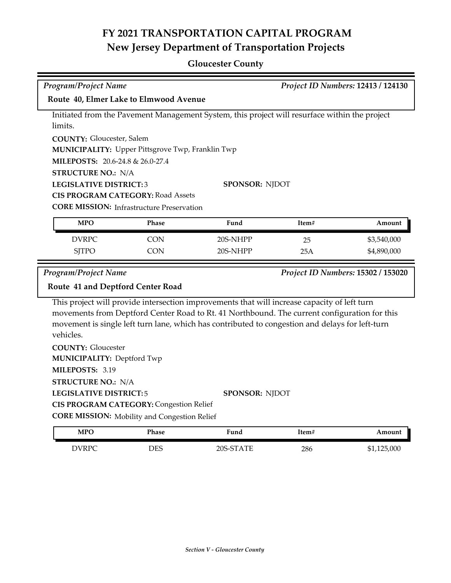### **Gloucester County**

| <b>Program/Project Name</b><br>Project ID Numbers: 12413 / 124130 |                                                         |                                                                                                                                                                                                                                                                                                 |       |                                    |
|-------------------------------------------------------------------|---------------------------------------------------------|-------------------------------------------------------------------------------------------------------------------------------------------------------------------------------------------------------------------------------------------------------------------------------------------------|-------|------------------------------------|
| Route 40, Elmer Lake to Elmwood Avenue                            |                                                         |                                                                                                                                                                                                                                                                                                 |       |                                    |
|                                                                   |                                                         | Initiated from the Pavement Management System, this project will resurface within the project                                                                                                                                                                                                   |       |                                    |
| limits.                                                           |                                                         |                                                                                                                                                                                                                                                                                                 |       |                                    |
| <b>COUNTY: Gloucester, Salem</b>                                  |                                                         |                                                                                                                                                                                                                                                                                                 |       |                                    |
|                                                                   | <b>MUNICIPALITY:</b> Upper Pittsgrove Twp, Franklin Twp |                                                                                                                                                                                                                                                                                                 |       |                                    |
| MILEPOSTS: 20.6-24.8 & 26.0-27.4                                  |                                                         |                                                                                                                                                                                                                                                                                                 |       |                                    |
| <b>STRUCTURE NO.: N/A</b>                                         |                                                         |                                                                                                                                                                                                                                                                                                 |       |                                    |
|                                                                   | <b>LEGISLATIVE DISTRICT:3</b><br><b>SPONSOR: NJDOT</b>  |                                                                                                                                                                                                                                                                                                 |       |                                    |
|                                                                   | <b>CIS PROGRAM CATEGORY: Road Assets</b>                |                                                                                                                                                                                                                                                                                                 |       |                                    |
|                                                                   | <b>CORE MISSION: Infrastructure Preservation</b>        |                                                                                                                                                                                                                                                                                                 |       |                                    |
| <b>MPO</b>                                                        | <b>Phase</b>                                            | Fund                                                                                                                                                                                                                                                                                            | Item# | Amount                             |
| <b>DVRPC</b>                                                      | <b>CON</b>                                              | 20S-NHPP                                                                                                                                                                                                                                                                                        | 25    | \$3,540,000                        |
| <b>SJTPO</b>                                                      | <b>CON</b>                                              | 20S-NHPP                                                                                                                                                                                                                                                                                        | 25A   | \$4,890,000                        |
|                                                                   |                                                         |                                                                                                                                                                                                                                                                                                 |       |                                    |
| <b>Program/Project Name</b>                                       |                                                         |                                                                                                                                                                                                                                                                                                 |       | Project ID Numbers: 15302 / 153020 |
| Route 41 and Deptford Center Road                                 |                                                         |                                                                                                                                                                                                                                                                                                 |       |                                    |
| vehicles.                                                         |                                                         | This project will provide intersection improvements that will increase capacity of left turn<br>movements from Deptford Center Road to Rt. 41 Northbound. The current configuration for this<br>movement is single left turn lane, which has contributed to congestion and delays for left-turn |       |                                    |
| <b>COUNTY: Gloucester</b>                                         |                                                         |                                                                                                                                                                                                                                                                                                 |       |                                    |
| <b>MUNICIPALITY: Deptford Twp</b>                                 |                                                         |                                                                                                                                                                                                                                                                                                 |       |                                    |
| MILEPOSTS: 3.19                                                   |                                                         |                                                                                                                                                                                                                                                                                                 |       |                                    |
| <b>STRUCTURE NO.: N/A</b>                                         |                                                         |                                                                                                                                                                                                                                                                                                 |       |                                    |
| <b>LEGISLATIVE DISTRICT:5</b>                                     |                                                         | <b>SPONSOR: NJDOT</b>                                                                                                                                                                                                                                                                           |       |                                    |
|                                                                   | <b>CIS PROGRAM CATEGORY: Congestion Relief</b>          |                                                                                                                                                                                                                                                                                                 |       |                                    |
|                                                                   | <b>CORE MISSION:</b> Mobility and Congestion Relief     |                                                                                                                                                                                                                                                                                                 |       |                                    |
| <b>MPO</b>                                                        | <b>Phase</b>                                            | Fund                                                                                                                                                                                                                                                                                            | Item# | Amount                             |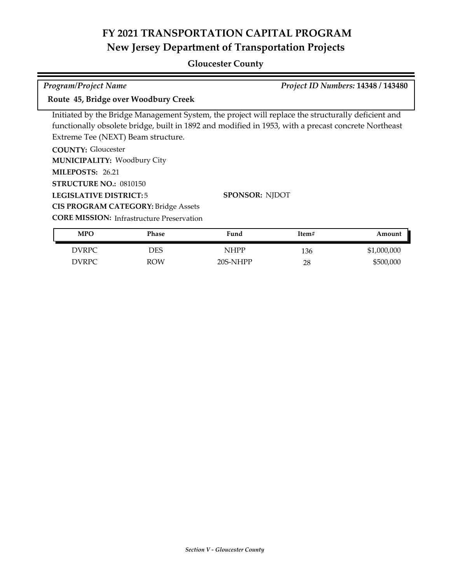#### **Gloucester County**

Initiated by the Bridge Management System, the project will replace the structurally deficient and functionally obsolete bridge, built in 1892 and modified in 1953, with a precast concrete Northeast Extreme Tee (NEXT) Beam structure. *Program/Project Name Project ID Numbers:* **14348 / 143480 Route 45, Bridge over Woodbury Creek**

**COUNTY:** Gloucester **LEGISLATIVE DISTRICT:** 5 **MILEPOSTS:** 26.21 **STRUCTURE NO.:** 0810150 **MUNICIPALITY: Woodbury City CORE MISSION:** Infrastructure Preservation **SPONSOR:** NJDOT **CIS PROGRAM CATEGORY:** Bridge Assets

| <b>MPO</b> | Phase      | Fund     | Item# | Amount      |
|------------|------------|----------|-------|-------------|
| DVRPC      | DES        | NHPP     | 136   | \$1,000,000 |
| DVRPC      | <b>ROW</b> | 20S-NHPP | 28    | \$500,000   |